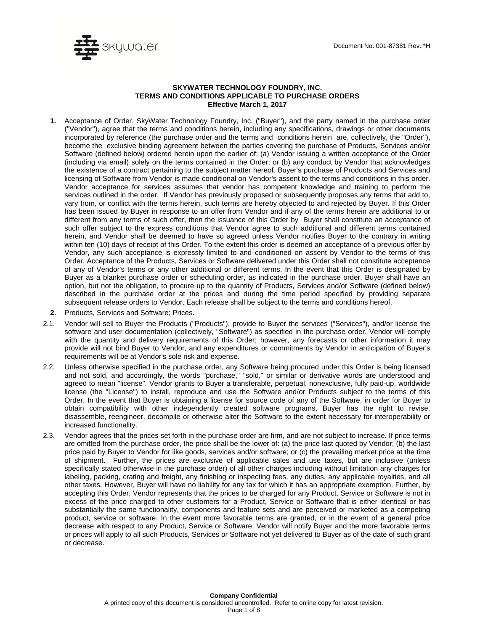

## **SKYWATER TECHNOLOGY FOUNDRY, INC. TERMS AND CONDITIONS APPLICABLE TO PURCHASE ORDERS Effective March 1, 2017**

- **1.** Acceptance of Order. SkyWater Technology Foundry, Inc. ("Buyer''), and the party named in the purchase order ("Vendor"), agree that the terms and conditions herein, including any specifications, drawings or other documents incorporated by reference (the purchase order and the terms and conditions herein are, collectively, the "Order''), become the exclusive binding agreement between the parties covering the purchase of Products, Services and/or Software (defined below) ordered herein upon the earlier of: (a) Vendor issuing a written acceptance of the Order (including via email) solely on the terms contained in the Order; or (b) any conduct by Vendor that acknowledges the existence of a contract pertaining to the subject matter hereof. Buyer's purchase of Products and Services and licensing of Software from Vendor is made conditional on Vendor's assent to the terms and conditions in this order. Vendor acceptance for services assumes that vendor has competent knowledge and training to perform the services outlined in the order. If Vendor has previously proposed or subsequently proposes any terms that add to, vary from, or conflict with the terms herein, such terms are hereby objected to and rejected by Buyer. If this Order has been issued by Buyer in response to an offer from Vendor and if any of the terms herein are additional to or different from any terms of such offer, then the issuance of this Order by Buyer shall constitute an acceptance of such offer subject to the express conditions that Vendor agree to such additional and different terms contained herein, and Vendor shall be deemed to have so agreed unless Vendor notifies Buyer to the contrary in writing within ten (10) days of receipt of this Order. To the extent this order is deemed an acceptance of a previous offer by Vendor, any such acceptance is expressly limited to and conditioned on assent by Vendor to the terms of this Order. Acceptance of the Products, Services or Software delivered under this Order shall not constitute acceptance of any of Vendor's terms or any other additional or different terms. In the event that this Order is designated by Buyer as a blanket purchase order or scheduling order, as indicated in the purchase order, Buyer shall have an option, but not the obligation, to procure up to the quantity of Products, Services and/or Software (defined below) described in the purchase order at the prices and during the time period specified by providing separate subsequent release orders to Vendor. Each release shall be subject to the terms and conditions hereof.
- **2.** Products, Services and Software; Prices.
- 2.1. Vendor will sell to Buyer the Products ("Products"), provide to Buyer the services ("Services"), and/or license the software and user documentation (collectively, "Software") as specified in the purchase order. Vendor will comply with the quantity and delivery requirements of this Order; however, any forecasts or other information it may provide will not bind Buyer to Vendor, and any expenditures or commitments by Vendor in anticipation of Buyer's requirements will be at Vendor's sole risk and expense.
- 2.2. Unless otherwise specified in the purchase order, any Software being procured under this Order is being licensed and not sold, and accordingly, the words "purchase," "sold," or similar or derivative words are understood and agreed to mean "license". Vendor grants to Buyer a transferable, perpetual, nonexclusive, fully paid-up, worldwide license (the "License") to install, reproduce and use the Software and/or Products subject to the terms of this Order. In the event that Buyer is obtaining a license for source code of any of the Software, in order for Buyer to obtain compatibility with other independently created software programs, Buyer has the right to revise, disassemble, reengineer, decompile or otherwise alter the Software to the extent necessary for interoperability or increased functionality.
- 2.3. Vendor agrees that the prices set forth in the purchase order are firm, and are not subject to increase. If price terms are omitted from the purchase order, the price shall be the lower of: (a) the price last quoted by Vendor; (b) the last price paid by Buyer to Vendor for like goods, services and/or software; or (c) the prevailing market price at the time of shipment. Further, the prices are exclusive of applicable sales and use taxes, but are inclusive (unless specifically stated otherwise in the purchase order) of all other charges including without limitation any charges for labeling, packing, crating and freight, any finishing or inspecting fees, any duties, any applicable royalties, and all other taxes. However, Buyer will have no liability for any tax for which it has an appropriate exemption. Further, by accepting this Order, Vendor represents that the prices to be charged for any Product, Service or Software is not in excess of the price charged to other customers for a Product, Service or Software that is either identical or has substantially the same functionality, components and feature sets and are perceived or marketed as a competing product, service or software. In the event more favorable terms are granted, or in the event of a general price decrease with respect to any Product, Service or Software, Vendor will notify Buyer and the more favorable terms or prices will apply to all such Products, Services or Software not yet delivered to Buyer as of the date of such grant or decrease.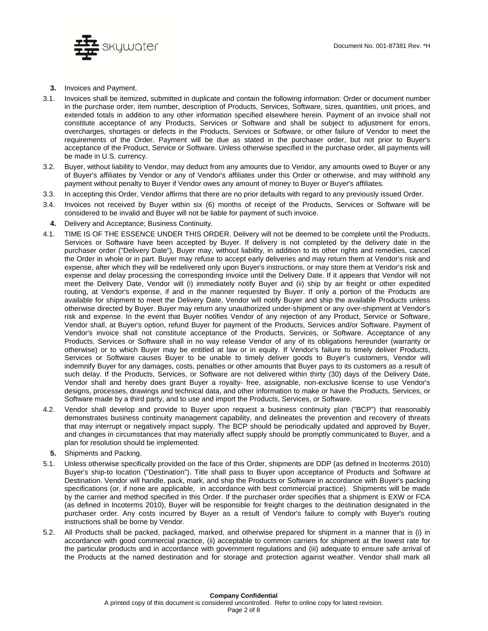

- **3.** Invoices and Payment.
- 3.1. Invoices shall be itemized, submitted in duplicate and contain the following information: Order or document number in the purchase order, item number, description of Products, Services, Software, sizes, quantities, unit prices, and extended totals in addition to any other information specified elsewhere herein. Payment of an invoice shall not constitute acceptance of any Products, Services or Software and shall be subject to adjustment for errors, overcharges, shortages or defects in the Products, Services or Software, or other failure of Vendor to meet the requirements of the Order. Payment will be due as stated in the purchaser order, but not prior to Buyer's acceptance of the Product, Service or Software. Unless otherwise specified in the purchase order, all payments will be made in U.S. currency.
- 3.2. Buyer, without liability to Vendor, may deduct from any amounts due to Vendor, any amounts owed to Buyer or any of Buyer's affiliates by Vendor or any of Vendor's affiliates under this Order or otherwise, and may withhold any payment without penalty to Buyer if Vendor owes any amount of money to Buyer or Buyer's affiliates.
- 3.3. In accepting this Order, Vendor affirms that there are no prior defaults with regard to any previously issued Order.
- 3.4. Invoices not received by Buyer within six (6) months of receipt of the Products, Services or Software will be considered to be invalid and Buyer will not be liable for payment of such invoice.
- **4.** Delivery and Acceptance; Business Continuity.
- 4.1. TIME IS OF THE ESSENCE UNDER THIS ORDER. Delivery will not be deemed to be complete until the Products, Services or Software have been accepted by Buyer. If delivery is not completed by the delivery date in the purchaser order ("Delivery Date"), Buyer may, without liability, in addition to its other rights and remedies, cancel the Order in whole or in part. Buyer may refuse to accept early deliveries and may return them at Vendor's risk and expense, after which they will be redelivered only upon Buyer's instructions, or may store them at Vendor's risk and expense and delay processing the corresponding invoice until the Delivery Date. If it appears that Vendor will not meet the Delivery Date, Vendor will (i) immediately notify Buyer and (ii) ship by air freight or other expedited routing, at Vendor's expense, if and in the manner requested by Buyer. If only a portion of the Products are available for shipment to meet the Delivery Date, Vendor will notify Buyer and ship the available Products unless otherwise directed by Buyer. Buyer may return any unauthorized under-shipment or any over-shipment at Vendor's risk and expense. In the event that Buyer notifies Vendor of any rejection of any Product, Service or Software, Vendor shall, at Buyer's option, refund Buyer for payment of the Products, Services and/or Software. Payment of Vendor's invoice shall not constitute acceptance of the Products, Services, or Software. Acceptance of any Products, Services or Software shall in no way release Vendor of any of its obligations hereunder (warranty or otherwise) or to which Buyer may be entitled at law or in equity. If Vendor's failure to timely deliver Products, Services or Software causes Buyer to be unable to timely deliver goods to Buyer's customers, Vendor will indemnify Buyer for any damages, costs, penalties or other amounts that Buyer pays to its customers as a result of such delay. If the Products, Services, or Software are not delivered within thirty (30) days of the Delivery Date, Vendor shall and hereby does grant Buyer a royalty- free, assignable, non-exclusive license to use Vendor's designs, processes, drawings and technical data, and other information to make or have the Products, Services, or Software made by a third party, and to use and import the Products, Services, or Software.
- 4.2. Vendor shall develop and provide to Buyer upon request a business continuity plan ("BCP") that reasonably demonstrates business continuity management capability, and delineates the prevention and recovery of threats that may interrupt or negatively impact supply. The BCP should be periodically updated and approved by Buyer, and changes in circumstances that may materially affect supply should be promptly communicated to Buyer, and a plan for resolution should be implemented.
- **5.** Shipments and Packing.
- 5.1. Unless otherwise specifically provided on the face of this Order, shipments are DDP (as defined in lncoterms 2010) Buyer's ship-to location ("Destination"). Title shall pass to Buyer upon acceptance of Products and Software at Destination. Vendor will handle, pack, mark, and ship the Products or Software in accordance with Buyer's packing specifications (or, if none are applicable, in accordance with best commercial practice). Shipments will be made by the carrier and method specified in this Order. If the purchaser order specifies that a shipment is EXW or FCA (as defined in lncoterms 2010), Buyer will be responsible for freight charges to the destination designated in the purchaser order. Any costs incurred by Buyer as a result of Vendor's failure to comply with Buyer's routing instructions shall be borne by Vendor.
- 5.2. All Products shall be packed, packaged, marked, and otherwise prepared for shipment in a manner that is (i) in accordance with good commercial practice, (ii) acceptable to common carriers for shipment at the lowest rate for the particular products and in accordance with government regulations and (iii) adequate to ensure safe arrival of the Products at the named destination and for storage and protection against weather. Vendor shall mark all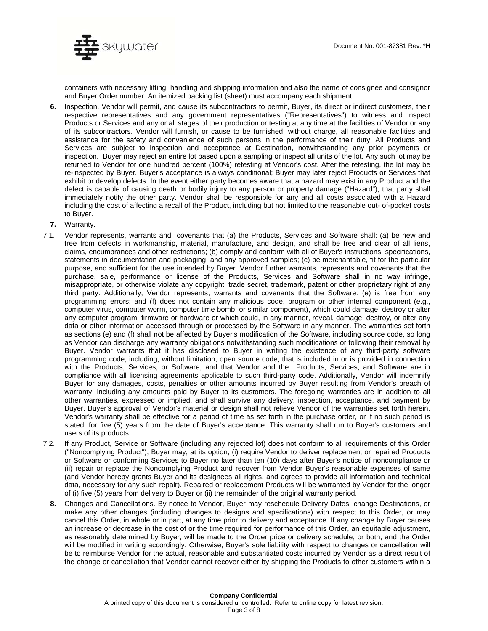

containers with necessary lifting, handling and shipping information and also the name of consignee and consignor and Buyer Order number. An itemized packing list (sheet) must accompany each shipment.

- **6.** Inspection. Vendor will permit, and cause its subcontractors to permit, Buyer, its direct or indirect customers, their respective representatives and any government representatives ("Representatives") to witness and inspect Products or Services and any or all stages of their production or testing at any time at the facilities of Vendor or any of its subcontractors. Vendor will furnish, or cause to be furnished, without charge, all reasonable facilities and assistance for the safety and convenience of such persons in the performance of their duty. All Products and Services are subject to inspection and acceptance at Destination, notwithstanding any prior payments or inspection. Buyer may reject an entire lot based upon a sampling or inspect all units of the lot. Any such lot may be returned to Vendor for one hundred percent (100%) retesting at Vendor's cost. After the retesting, the lot may be re-inspected by Buyer. Buyer's acceptance is always conditional; Buyer may later reject Products or Services that exhibit or develop defects. In the event either party becomes aware that a hazard may exist in any Product and the defect is capable of causing death or bodily injury to any person or property damage ("Hazard"), that party shall immediately notify the other party. Vendor shall be responsible for any and all costs associated with a Hazard including the cost of affecting a recall of the Product, including but not limited to the reasonable out- of-pocket costs to Buyer.
- **7.** Warranty.
- 7.1. Vendor represents, warrants and covenants that (a) the Products, Services and Software shall: (a) be new and free from defects in workmanship, material, manufacture, and design, and shall be free and clear of all liens, claims, encumbrances and other restrictions; (b) comply and conform with all of Buyer's instructions, specifications, statements in documentation and packaging, and any approved samples; (c) be merchantable, fit for the particular purpose, and sufficient for the use intended by Buyer. Vendor further warrants, represents and covenants that the purchase, sale, performance or license of the Products, Services and Software shall in no way infringe, misappropriate, or otherwise violate any copyright, trade secret, trademark, patent or other proprietary right of any third party. Additionally, Vendor represents, warrants and covenants that the Software: (e) is free from any programming errors; and (f) does not contain any malicious code, program or other internal component (e.g., computer virus, computer worm, computer time bomb, or similar component), which could damage, destroy or alter any computer program, firmware or hardware or which could, in any manner, reveal, damage, destroy, or alter any data or other information accessed through or processed by the Software in any manner. The warranties set forth as sections (e) and (f) shall not be affected by Buyer's modification of the Software, including source code, so long as Vendor can discharge any warranty obligations notwithstanding such modifications or following their removal by Buyer. Vendor warrants that it has disclosed to Buyer in writing the existence of any third-party software programming code, including, without limitation, open source code, that is included in or is provided in connection with the Products, Services, or Software, and that Vendor and the Products, Services, and Software are in compliance with all licensing agreements applicable to such third-party code. Additionally, Vendor will indemnify Buyer for any damages, costs, penalties or other amounts incurred by Buyer resulting from Vendor's breach of warranty, including any amounts paid by Buyer to its customers. The foregoing warranties are in addition to all other warranties, expressed or implied, and shall survive any delivery, inspection, acceptance, and payment by Buyer. Buyer's approval of Vendor's material or design shall not relieve Vendor of the warranties set forth herein. Vendor's warranty shall be effective for a period of time as set forth in the purchase order, or if no such period is stated, for five (5) years from the date of Buyer's acceptance. This warranty shall run to Buyer's customers and users of its products.
- 7.2. If any Product, Service or Software (including any rejected lot) does not conform to all requirements of this Order ("Noncomplying Product"), Buyer may, at its option, (i) require Vendor to deliver replacement or repaired Products or Software or conforming Services to Buyer no later than ten (10) days after Buyer's notice of noncompliance or (ii) repair or replace the Noncomplying Product and recover from Vendor Buyer's reasonable expenses of same (and Vendor hereby grants Buyer and its designees all rights, and agrees to provide all information and technical data, necessary for any such repair). Repaired or replacement Products will be warranted by Vendor for the longer of (i) five (5) years from delivery to Buyer or (ii) the remainder of the original warranty period.
	- **8.** Changes and Cancellations. By notice to Vendor, Buyer may reschedule Delivery Dates, change Destinations, or make any other changes (including changes to designs and specifications) with respect to this Order, or may cancel this Order, in whole or in part, at any time prior to delivery and acceptance. If any change by Buyer causes an increase or decrease in the cost of or the time required for performance of this Order, an equitable adjustment, as reasonably determined by Buyer, will be made to the Order price or delivery schedule, or both, and the Order will be modified in writing accordingly. Otherwise, Buyer's sole liability with respect to changes or cancellation will be to reimburse Vendor for the actual, reasonable and substantiated costs incurred by Vendor as a direct result of the change or cancellation that Vendor cannot recover either by shipping the Products to other customers within a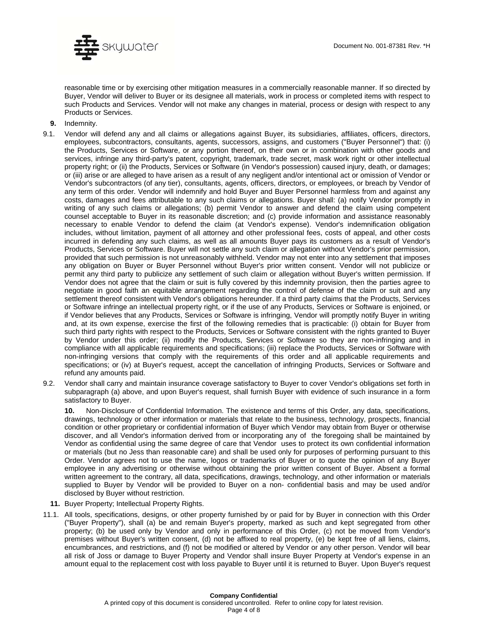

reasonable time or by exercising other mitigation measures in a commercially reasonable manner. If so directed by Buyer, Vendor will deliver to Buyer or its designee all materials, work in process or completed items with respect to such Products and Services. Vendor will not make any changes in material, process or design with respect to any Products or Services.

- **9.** Indemnity.
- 9.1. Vendor will defend any and all claims or allegations against Buyer, its subsidiaries, affiliates, officers, directors, employees, subcontractors, consultants, agents, successors, assigns, and customers ("Buyer Personnel") that: (i) the Products, Services or Software, or any portion thereof, on their own or in combination with other goods and services, infringe any third-party's patent, copyright, trademark, trade secret, mask work right or other intellectual property right; or (ii) the Products, Services or Software (in Vendor's possession) caused injury, death, or damages; or (iii) arise or are alleged to have arisen as a result of any negligent and/or intentional act or omission of Vendor or Vendor's subcontractors (of any tier), consultants, agents, officers, directors, or employees, or breach by Vendor of any term of this order. Vendor will indemnify and hold Buyer and Buyer Personnel harmless from and against any costs, damages and fees attributable to any such claims or allegations. Buyer shall: (a) notify Vendor promptly in writing of any such claims or allegations; (b) permit Vendor to answer and defend the claim using competent counsel acceptable to Buyer in its reasonable discretion; and (c) provide information and assistance reasonably necessary to enable Vendor to defend the claim (at Vendor's expense). Vendor's indemnification obligation includes, without limitation, payment of all attorney and other professional fees, costs of appeal, and other costs incurred in defending any such claims, as well as all amounts Buyer pays its customers as a result of Vendor's Products, Services or Software. Buyer will not settle any such claim or allegation without Vendor's prior permission, provided that such permission is not unreasonably withheld. Vendor may not enter into any settlement that imposes any obligation on Buyer or Buyer Personnel without Buyer's prior written consent. Vendor will not publicize or permit any third party to publicize any settlement of such claim or allegation without Buyer's written permission. If Vendor does not agree that the claim or suit is fully covered by this indemnity provision, then the parties agree to negotiate in good faith an equitable arrangement regarding the control of defense of the claim or suit and any settlement thereof consistent with Vendor's obligations hereunder. If a third party claims that the Products, Services or Software infringe an intellectual property right, or if the use of any Products, Services or Software is enjoined, or if Vendor believes that any Products, Services or Software is infringing, Vendor will promptly notify Buyer in writing and, at its own expense, exercise the first of the following remedies that is practicable: (i) obtain for Buyer from such third party rights with respect to the Products, Services or Software consistent with the rights granted to Buyer by Vendor under this order; (ii) modify the Products, Services or Software so they are non-infringing and in compliance with all applicable requirements and specifications; (iii) replace the Products, Services or Software with non-infringing versions that comply with the requirements of this order and all applicable requirements and specifications; or (iv) at Buyer's request, accept the cancellation of infringing Products, Services or Software and refund any amounts paid.
- 9.2. Vendor shall carry and maintain insurance coverage satisfactory to Buyer to cover Vendor's obligations set forth in subparagraph (a) above, and upon Buyer's request, shall furnish Buyer with evidence of such insurance in a form satisfactory to Buyer.

**10.** Non-Disclosure of Confidential Information. The existence and terms of this Order, any data, specifications, drawings, technology or other information or materials that relate to the business, technology, prospects, financial condition or other proprietary or confidential information of Buyer which Vendor may obtain from Buyer or otherwise discover, and all Vendor's information derived from or incorporating any of the foregoing shall be maintained by Vendor as confidential using the same degree of care that Vendor uses to protect its own confidential information or materials (but no Jess than reasonable care) and shall be used only for purposes of performing pursuant to this Order. Vendor agrees not to use the name, logos or trademarks of Buyer or to quote the opinion of any Buyer employee in any advertising or otherwise without obtaining the prior written consent of Buyer. Absent a formal written agreement to the contrary, all data, specifications, drawings, technology, and other information or materials supplied to Buyer by Vendor will be provided to Buyer on a non- confidential basis and may be used and/or disclosed by Buyer without restriction.

- **11.** Buyer Property; Intellectual Property Rights.
- 11.1. All tools, specifications, designs, or other property furnished by or paid for by Buyer in connection with this Order ("Buyer Property"), shall (a) be and remain Buyer's property, marked as such and kept segregated from other property; (b) be used only by Vendor and only in performance of this Order, (c) not be moved from Vendor's premises without Buyer's written consent, (d) not be affixed to real property, (e) be kept free of all liens, claims, encumbrances, and restrictions, and (f) not be modified or altered by Vendor or any other person. Vendor will bear all risk of Joss or damage to Buyer Property and Vendor shall insure Buyer Property at Vendor's expense in an amount equal to the replacement cost with loss payable to Buyer until it is returned to Buyer. Upon Buyer's request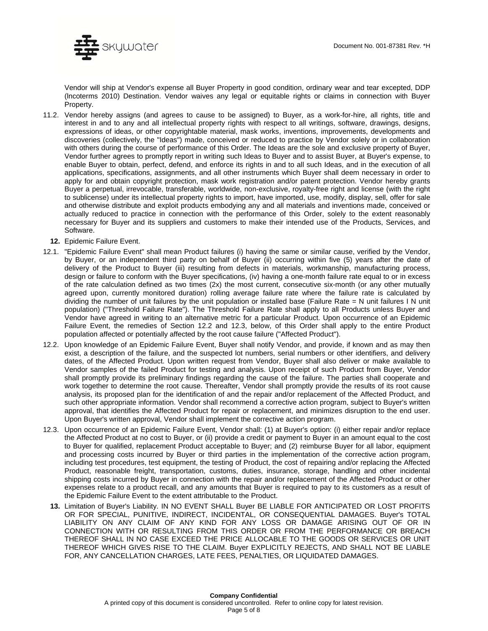

Vendor will ship at Vendor's expense all Buyer Property in good condition, ordinary wear and tear excepted, DDP (lncoterms 2010) Destination. Vendor waives any legal or equitable rights or claims in connection with Buyer Property.

- 11.2. Vendor hereby assigns (and agrees to cause to be assigned) to Buyer, as a work-for-hire, all rights, title and interest in and to any and all intellectual property rights with respect to all writings, software, drawings, designs, expressions of ideas, or other copyrightable material, mask works, inventions, improvements, developments and discoveries (collectively, the "Ideas") made, conceived or reduced to practice by Vendor solely or in collaboration with others during the course of performance of this Order. The Ideas are the sole and exclusive property of Buyer, Vendor further agrees to promptly report in writing such Ideas to Buyer and to assist Buyer, at Buyer's expense, to enable Buyer to obtain, perfect, defend, and enforce its rights in and to all such Ideas, and in the execution of all applications, specifications, assignments, and all other instruments which Buyer shall deem necessary in order to apply for and obtain copyright protection, mask work registration and/or patent protection. Vendor hereby grants Buyer a perpetual, irrevocable, transferable, worldwide, non-exclusive, royalty-free right and license (with the right to sublicense) under its intellectual property rights to import, have imported, use, modify, display, sell, offer for sale and otherwise distribute and exploit products embodying any and all materials and inventions made, conceived or actually reduced to practice in connection with the performance of this Order, solely to the extent reasonably necessary for Buyer and its suppliers and customers to make their intended use of the Products, Services, and Software.
	- **12.** Epidemic Failure Event.
- 12.1. "Epidemic Failure Event" shall mean Product failures (i) having the same or similar cause, verified by the Vendor, by Buyer, or an independent third party on behalf of Buyer (ii) occurring within five (5) years after the date of delivery of the Product to Buyer (iii) resulting from defects in materials, workmanship, manufacturing process, design or failure to conform with the Buyer specifications, (iv) having a one-month failure rate equal to or in excess of the rate calculation defined as two times (2x) the most current, consecutive six-month (or any other mutually agreed upon, currently monitored duration) rolling average failure rate where the failure rate is calculated by dividing the number of unit failures by the unit population or installed base (Failure Rate = N unit failures I N unit population) ("Threshold Failure Rate"). The Threshold Failure Rate shall apply to all Products unless Buyer and Vendor have agreed in writing to an alternative metric for a particular Product. Upon occurrence of an Epidemic Failure Event, the remedies of Section 12.2 and 12.3, below, of this Order shall apply to the entire Product population affected or potentially affected by the root cause failure ("Affected Product").
- 12.2. Upon knowledge of an Epidemic Failure Event, Buyer shall notify Vendor, and provide, if known and as may then exist, a description of the failure, and the suspected lot numbers, serial numbers or other identifiers, and delivery dates, of the Affected Product. Upon written request from Vendor, Buyer shall also deliver or make available to Vendor samples of the failed Product for testing and analysis. Upon receipt of such Product from Buyer, Vendor shall promptly provide its preliminary findings regarding the cause of the failure. The parties shall cooperate and work together to determine the root cause. Thereafter, Vendor shall promptly provide the results of its root cause analysis, its proposed plan for the identification of and the repair and/or replacement of the Affected Product, and such other appropriate information. Vendor shall recommend a corrective action program, subject to Buyer's written approval, that identifies the Affected Product for repair or replacement, and minimizes disruption to the end user. Upon Buyer's written approval, Vendor shall implement the corrective action program.
- 12.3. Upon occurrence of an Epidemic Failure Event, Vendor shall: (1) at Buyer's option: (i) either repair and/or replace the Affected Product at no cost to Buyer, or (ii) provide a credit or payment to Buyer in an amount equal to the cost to Buyer for qualified, replacement Product acceptable to Buyer; and (2) reimburse Buyer for all labor, equipment and processing costs incurred by Buyer or third parties in the implementation of the corrective action program, including test procedures, test equipment, the testing of Product, the cost of repairing and/or replacing the Affected Product, reasonable freight, transportation, customs, duties, insurance, storage, handling and other incidental shipping costs incurred by Buyer in connection with the repair and/or replacement of the Affected Product or other expenses relate to a product recall, and any amounts that Buyer is required to pay to its customers as a result of the Epidemic Failure Event to the extent attributable to the Product.
	- **13.** Limitation of Buyer's Liability. IN NO EVENT SHALL Buyer BE LIABLE FOR ANTICIPATED OR LOST PROFITS OR FOR SPECIAL, PUNITIVE, INDIRECT, INCIDENTAL, OR CONSEQUENTIAL DAMAGES. Buyer's TOTAL LIABILITY ON ANY CLAIM OF ANY KIND FOR ANY LOSS OR DAMAGE ARISING OUT OF OR IN CONNECTION WITH OR RESULTING FROM THIS ORDER OR FROM THE PERFORMANCE OR BREACH THEREOF SHALL IN NO CASE EXCEED THE PRICE ALLOCABLE TO THE GOODS OR SERVICES OR UNIT THEREOF WHICH GIVES RISE TO THE CLAIM. Buyer EXPLICITLY REJECTS, AND SHALL NOT BE LIABLE FOR, ANY CANCELLATION CHARGES, LATE FEES, PENALTIES, OR LIQUIDATED DAMAGES.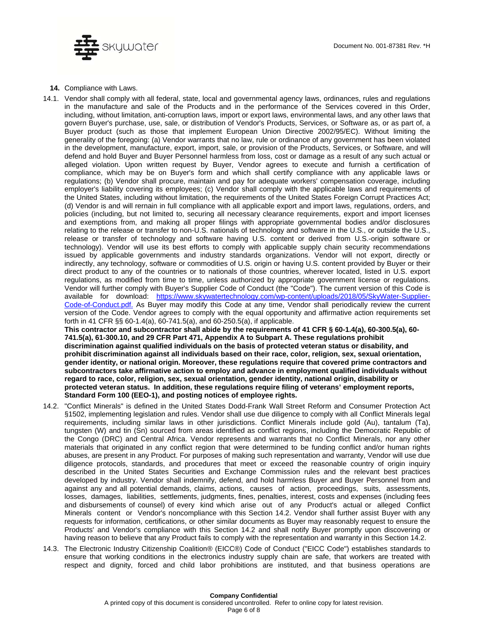

**14.** Compliance with Laws.

14.1. Vendor shall comply with all federal, state, local and governmental agency laws, ordinances, rules and regulations in the manufacture and sale of the Products and in the performance of the Services covered in this Order, including, without limitation, anti-corruption laws, import or export laws, environmental laws, and any other laws that govern Buyer's purchase, use, sale, or distribution of Vendor's Products, Services, or Software as, or as part of, a Buyer product (such as those that implement European Union Directive 2002/95/EC). Without limiting the generality of the foregoing: (a) Vendor warrants that no law, rule or ordinance of any government has been violated in the development, manufacture, export, import, sale, or provision of the Products, Services, or Software, and will defend and hold Buyer and Buyer Personnel harmless from loss, cost or damage as a result of any such actual or alleged violation. Upon written request by Buyer, Vendor agrees to execute and furnish a certification of compliance, which may be on Buyer's form and which shall certify compliance with any applicable laws or regulations; (b) Vendor shall procure, maintain and pay for adequate workers' compensation coverage, including employer's liability covering its employees; (c) Vendor shall comply with the applicable laws and requirements of the United States, including without limitation, the requirements of the United States Foreign Corrupt Practices Act; (d) Vendor is and will rernain in full compliance with all applicable export and import laws, regulations, orders, and policies (including, but not limited to, securing all necessary clearance requirements, export and import licenses and exemptions from, and making all proper filings with appropriate governmental bodies and/or disclosures relating to the release or transfer to non-U.S. nationals of technology and software in the U.S., or outside the U.S., release or transfer of technology and software having U.S. content or derived from U.S.-origin software or technology). Vendor will use its best efforts to comply with applicable supply chain security recommendations issued by applicable governments and industry standards organizations. Vendor will not export, directly or indirectly, any technology, software or commodities of U.S. origin or having U.S. content provided by Buyer or their direct product to any of the countries or to nationals of those countries, wherever located, listed in U.S. export regulations, as modified from time to time, unless authorized by appropriate government license or regulations. Vendor will further comply with Buyer's Supplier Code of Conduct (the "Code"). The current version of this Code is available for download: https://www.skywatertechnology.com/wp-content/uploads/2018/05/SkyWater-Supplier-Code-of-Conduct.pdf. As Buyer may modify this Code at any time, Vendor shall periodically review the current version of the Code. Vendor agrees to comply with the equal opportunity and affirmative action requirements set forth in 41 CFR §§ 60-1.4(a), 60-741.5(a), and 60-250.5(a), if applicable.

**This contractor and subcontractor shall abide by the requirements of 41 CFR § 60-1.4(a), 60-300.5(a), 60- 741.5(a), 61-300.10, and 29 CFR Part 471, Appendix A to Subpart A. These regulations prohibit discrimination against qualified individuals on the basis of protected veteran status or disability, and prohibit discrimination against all individuals based on their race, color, religion, sex, sexual orientation, gender identity, or national origin. Moreover, these regulations require that covered prime contractors and subcontractors take affirmative action to employ and advance in employment qualified individuals without regard to race, color, religion, sex, sexual orientation, gender identity, national origin, disability or protected veteran status. In addition, these regulations require filing of veterans' employment reports, Standard Form 100 (EEO-1), and posting notices of employee rights.**

- 14.2. "Conflict Minerals" is defined in the United States Dodd-Frank Wall Street Reform and Consumer Protection Act §1502, implementing legislation and rules. Vendor shall use due diligence to comply with all Conflict Minerals legal requirements, including similar laws in other jurisdictions. Conflict Minerals include gold (Au), tantalum (Ta), tungsten (W) and tin (Sn) sourced from areas identified as conflict regions, including the Democratic Republic of the Congo (DRC) and Central Africa. Vendor represents and warrants that no Conflict Minerals, nor any other materials that originated in any conflict region that were determined to be funding conflict and/or human rights abuses, are present in any Product. For purposes of making such representation and warranty, Vendor will use due diligence protocols, standards, and procedures that meet or exceed the reasonable country of origin inquiry described in the United States Securities and Exchange Commission rules and the relevant best practices developed by industry. Vendor shall indemnify, defend, and hold harmless Buyer and Buyer Personnel from and against any and all potential demands, claims, actions, causes of action, proceedings, suits, assessments, losses, damages, liabilities, settlements, judgments, fines, penalties, interest, costs and expenses (including fees and disbursements of counsel) of every kind which arise out of any Product's actual or alleged Conflict Minerals content or Vendor's noncompliance with this Section 14.2. Vendor shall further assist Buyer with any requests for information, certifications, or other similar documents as Buyer may reasonably request to ensure the Products' and Vendor's compliance with this Section 14.2 and shall notify Buyer promptly upon discovering or having reason to believe that any Product fails to comply with the representation and warranty in this Section 14.2.
- 14.3. The Electronic Industry Citizenship Coalition® (EICC®) Code of Conduct ("EICC Code") establishes standards to ensure that working conditions in the electronics industry supply chain are safe, that workers are treated with respect and dignity, forced and child labor prohibitions are instituted, and that business operations are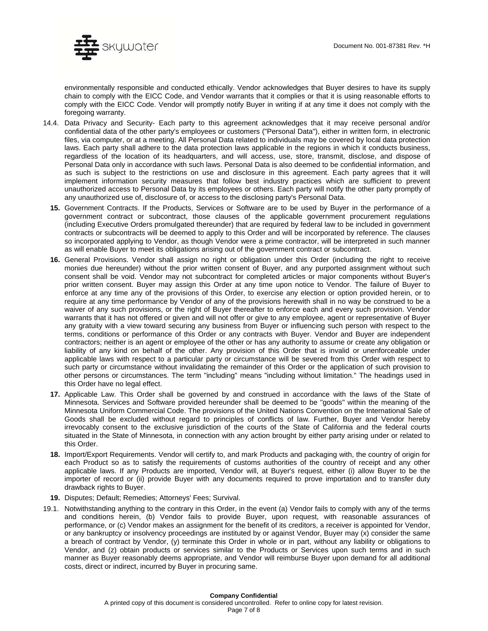

environmentally responsible and conducted ethically. Vendor acknowledges that Buyer desires to have its supply chain to comply with the EICC Code, and Vendor warrants that it complies or that it is using reasonable efforts to comply with the EICC Code. Vendor will promptly notify Buyer in writing if at any time it does not comply with the foregoing warranty.

- 14.4. Data Privacy and Security- Each party to this agreement acknowledges that it may receive personal and/or confidential data of the other party's employees or customers ("Personal Data"), either in written form, in electronic files, via computer, or at a meeting. All Personal Data related to individuals may be covered by local data protection laws. Each party shall adhere to the data protection laws applicable in the regions in which it conducts business, regardless of the location of its headquarters, and will access, use, store, transmit, disclose, and dispose of Personal Data only in accordance with such laws. Personal Data is also deemed to be confidential information, and as such is subject to the restrictions on use and disclosure in this agreement. Each party agrees that it will implement information security measures that follow best industry practices which are sufficient to prevent unauthorized access to Personal Data by its employees or others. Each party will notify the other party promptly of any unauthorized use of, disclosure of, or access to the disclosing party's Personal Data.
	- **15.** Government Contracts. If the Products, Services or Software are to be used by Buyer in the performance of a government contract or subcontract, those clauses of the applicable government procurement regulations (including Executive Orders promulgated thereunder) that are required by federal law to be included in government contracts or subcontracts will be deemed to apply to this Order and will be incorporated by reference. The clauses so incorporated applying to Vendor, as though Vendor were a prime contractor, will be interpreted in such manner as will enable Buyer to meet its obligations arising out of the government contract or subcontract.
	- **16.** General Provisions. Vendor shall assign no right or obligation under this Order (including the right to receive monies due hereunder) without the prior written consent of Buyer, and any purported assignment without such consent shall be void. Vendor may not subcontract for completed articles or major components without Buyer's prior written consent. Buyer may assign this Order at any time upon notice to Vendor. The failure of Buyer to enforce at any time any of the provisions of this Order, to exercise any election or option provided herein, or to require at any time performance by Vendor of any of the provisions herewith shall in no way be construed to be a waiver of any such provisions, or the right of Buyer thereafter to enforce each and every such provision. Vendor warrants that it has not offered or given and will not offer or give to any employee, agent or representative of Buyer any gratuity with a view toward securing any business from Buyer or influencing such person with respect to the terms, conditions or performance of this Order or any contracts with Buyer. Vendor and Buyer are independent contractors; neither is an agent or employee of the other or has any authority to assume or create any obligation or liability of any kind on behalf of the other. Any provision of this Order that is invalid or unenforceable under applicable laws with respect to a particular party or circumstance will be severed from this Order with respect to such party or circumstance without invalidating the remainder of this Order or the application of such provision to other persons or circumstances. The term "including" means "including without limitation." The headings used in this Order have no legal effect.
	- **17.** Applicable Law. This Order shall be governed by and construed in accordance with the laws of the State of Minnesota. Services and Software provided hereunder shall be deemed to be "goods" within the meaning of the Minnesota Uniform Commercial Code. The provisions of the United Nations Convention on the International Sale of Goods shall be excluded without regard to principles of conflicts of law. Further, Buyer and Vendor hereby irrevocably consent to the exclusive jurisdiction of the courts of the State of California and the federal courts situated in the State of Minnesota, in connection with any action brought by either party arising under or related to this Order.
	- **18.** Import/Export Requirements. Vendor will certify to, and mark Products and packaging with, the country of origin for each Product so as to satisfy the requirements of customs authorities of the country of receipt and any other applicable laws. If any Products are imported, Vendor will, at Buyer's request, either (i) allow Buyer to be the importer of record or (ii) provide Buyer with any documents required to prove importation and to transfer duty drawback rights to Buyer.
- **19.** Disputes; Default; Remedies; Attorneys' Fees; Survival.
- 19.1. Notwithstanding anything to the contrary in this Order, in the event (a) Vendor fails to comply with any of the terms and conditions herein, (b) Vendor fails to provide Buyer, upon request, with reasonable assurances of performance, or (c) Vendor makes an assignment for the benefit of its creditors, a receiver is appointed for Vendor, or any bankruptcy or insolvency proceedings are instituted by or against Vendor, Buyer may (x) consider the same a breach of contract by Vendor, (y) terminate this Order in whole or in part, without any liability or obligations to Vendor, and (z) obtain products or services similar to the Products or Services upon such terms and in such manner as Buyer reasonably deems appropriate, and Vendor will reimburse Buyer upon demand for all additional costs, direct or indirect, incurred by Buyer in procuring same.